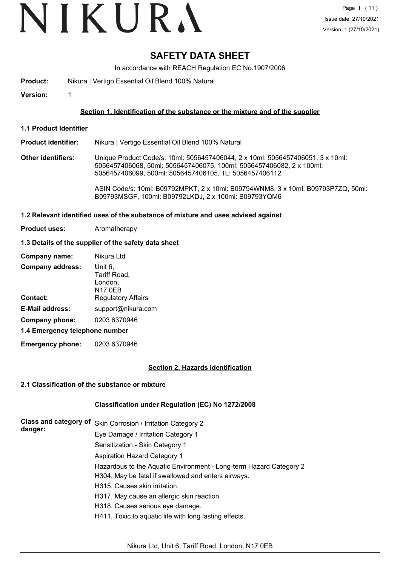# VIKURA

# **SAFETY DATA SHEET**

In accordance with REACH Regulation EC No.1907/2006

- **Product:** Nikura | Vertigo Essential Oil Blend 100% Natural
- **Version:** 1

# **Section 1. Identification of the substance or the mixture and of the supplier**

**1.1 Product Identifier**

#### **Product identifier:** Nikura | Vertigo Essential Oil Blend 100% Natural

**Other identifiers:** Unique Product Code/s: 10ml: 5056457406044, 2 x 10ml: 5056457406051, 3 x 10ml: 5056457406068, 50ml: 5056457406075, 100ml: 5056457406082, 2 x 100ml: 5056457406099, 500ml: 5056457406105, 1L: 5056457406112

> ASIN Code/s: 10ml: B09792MPKT, 2 x 10ml: B09794WNM8, 3 x 10ml: B09793P7ZQ, 50ml: B09793MSGF, 100ml: B09792LKDJ, 2 x 100ml: B09793YQM6

#### **1.2 Relevant identified uses of the substance of mixture and uses advised against**

**Product uses:** Aromatherapy

# **1.3 Details of the supplier of the safety data sheet**

| Company name:                  | Nikura Ltd                                           |
|--------------------------------|------------------------------------------------------|
| <b>Company address:</b>        | Unit 6,<br>Tariff Road,<br>London,<br><b>N17 0EB</b> |
| <b>Contact:</b>                | <b>Regulatory Affairs</b>                            |
| <b>E-Mail address:</b>         | support@nikura.com                                   |
| Company phone:                 | 0203 6370946                                         |
| 1.4 Emergency telephone number |                                                      |

**Emergency phone:** 0203 6370946

# **Section 2. Hazards identification**

# **2.1 Classification of the substance or mixture**

# **Classification under Regulation (EC) No 1272/2008**

| Class and category of | Skin Corrosion / Irritation Category 2                             |
|-----------------------|--------------------------------------------------------------------|
| danger:               | Eye Damage / Irritation Category 1                                 |
|                       | Sensitization - Skin Category 1                                    |
|                       | <b>Aspiration Hazard Category 1</b>                                |
|                       | Hazardous to the Aquatic Environment - Long-term Hazard Category 2 |
|                       | H304, May be fatal if swallowed and enters airways.                |
|                       | H315, Causes skin irritation.                                      |
|                       | H317, May cause an allergic skin reaction.                         |
|                       | H318, Causes serious eye damage.                                   |
|                       | H411, Toxic to aquatic life with long lasting effects.             |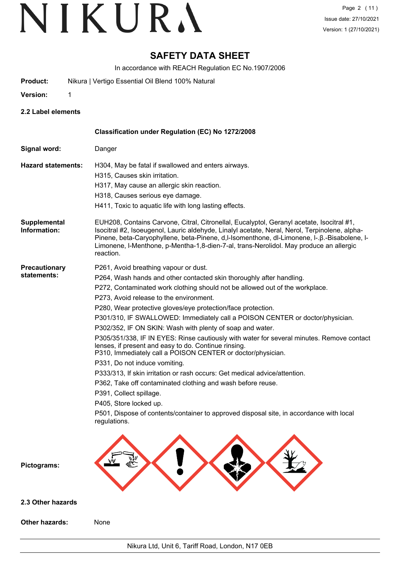# **SAFETY DATA SHEET**

In accordance with REACH Regulation EC No.1907/2006

- **Product:** Nikura | Vertigo Essential Oil Blend 100% Natural
- **Version:** 1
- 
- **2.2 Label elements**

|                                     | Classification under Regulation (EC) No 1272/2008                                                                                                                                                                                                                                                                                                                                                                                                                                                                                                                                                                                                                                                                                                                                                                                                                                                                                                                                                                        |
|-------------------------------------|--------------------------------------------------------------------------------------------------------------------------------------------------------------------------------------------------------------------------------------------------------------------------------------------------------------------------------------------------------------------------------------------------------------------------------------------------------------------------------------------------------------------------------------------------------------------------------------------------------------------------------------------------------------------------------------------------------------------------------------------------------------------------------------------------------------------------------------------------------------------------------------------------------------------------------------------------------------------------------------------------------------------------|
| Signal word:                        | Danger                                                                                                                                                                                                                                                                                                                                                                                                                                                                                                                                                                                                                                                                                                                                                                                                                                                                                                                                                                                                                   |
| <b>Hazard statements:</b>           | H304, May be fatal if swallowed and enters airways.<br>H315, Causes skin irritation.<br>H317, May cause an allergic skin reaction.<br>H318, Causes serious eye damage.<br>H411, Toxic to aquatic life with long lasting effects.                                                                                                                                                                                                                                                                                                                                                                                                                                                                                                                                                                                                                                                                                                                                                                                         |
| Supplemental<br>Information:        | EUH208, Contains Carvone, Citral, Citronellal, Eucalyptol, Geranyl acetate, Isocitral #1,<br>Isocitral #2, Isoeugenol, Lauric aldehyde, Linalyl acetate, Neral, Nerol, Terpinolene, alpha-<br>Pinene, beta-Caryophyllene, beta-Pinene, d,l-Isomenthone, dl-Limonene, l-.ß.-Bisabolene, l-<br>Limonene, I-Menthone, p-Mentha-1,8-dien-7-al, trans-Nerolidol. May produce an allergic<br>reaction.                                                                                                                                                                                                                                                                                                                                                                                                                                                                                                                                                                                                                         |
| <b>Precautionary</b><br>statements: | P261, Avoid breathing vapour or dust.<br>P264, Wash hands and other contacted skin thoroughly after handling.<br>P272, Contaminated work clothing should not be allowed out of the workplace.<br>P273, Avoid release to the environment.<br>P280, Wear protective gloves/eye protection/face protection.<br>P301/310, IF SWALLOWED: Immediately call a POISON CENTER or doctor/physician.<br>P302/352, IF ON SKIN: Wash with plenty of soap and water.<br>P305/351/338, IF IN EYES: Rinse cautiously with water for several minutes. Remove contact<br>lenses, if present and easy to do. Continue rinsing.<br>P310, Immediately call a POISON CENTER or doctor/physician.<br>P331, Do not induce vomiting.<br>P333/313, If skin irritation or rash occurs: Get medical advice/attention.<br>P362, Take off contaminated clothing and wash before reuse.<br>P391, Collect spillage.<br>P405, Store locked up.<br>P501, Dispose of contents/container to approved disposal site, in accordance with local<br>regulations. |
| Pictograms:                         |                                                                                                                                                                                                                                                                                                                                                                                                                                                                                                                                                                                                                                                                                                                                                                                                                                                                                                                                                                                                                          |
| 2.3 Other hazards                   |                                                                                                                                                                                                                                                                                                                                                                                                                                                                                                                                                                                                                                                                                                                                                                                                                                                                                                                                                                                                                          |
| Other hazards:                      | None                                                                                                                                                                                                                                                                                                                                                                                                                                                                                                                                                                                                                                                                                                                                                                                                                                                                                                                                                                                                                     |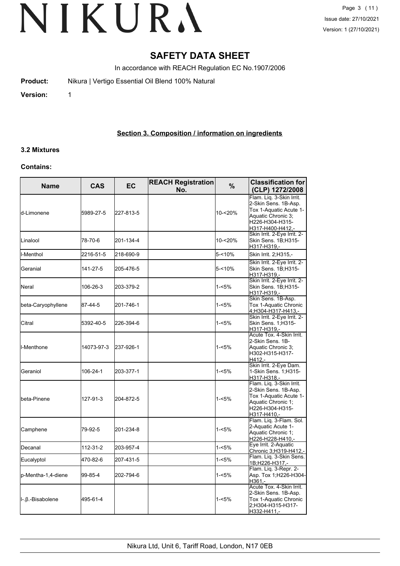# **SAFETY DATA SHEET**

In accordance with REACH Regulation EC No.1907/2006

**Product:** Nikura | Vertigo Essential Oil Blend 100% Natural

**Version:** 1

# **Section 3. Composition / information on ingredients**

# **3.2 Mixtures**

# **Contains:**

| <b>Name</b>         | <b>CAS</b> | EC        | <b>REACH Registration</b><br>No. | $\frac{0}{0}$ | <b>Classification for</b><br>(CLP) 1272/2008                                                                                            |  |
|---------------------|------------|-----------|----------------------------------|---------------|-----------------------------------------------------------------------------------------------------------------------------------------|--|
| <b>l</b> d-Limonene | 5989-27-5  | 227-813-5 |                                  | 10-<20%       | Flam. Lig. 3-Skin Irrit.<br>2-Skin Sens. 1B-Asp.<br>Tox 1-Aquatic Acute 1-<br>Aquatic Chronic 3:<br>H226-H304-H315-<br>H317-H400-H412,- |  |
| Linalool            | 78-70-6    | 201-134-4 |                                  | 10-<20%       | Skin Irrit. 2-Eye Irrit. 2-<br>Skin Sens. 1B;H315-<br>H317-H319,-                                                                       |  |
| I-Menthol           | 2216-51-5  | 218-690-9 |                                  | 5-<10%        | Skin Irrit. 2; H315,-                                                                                                                   |  |
| Geranial            | 141-27-5   | 205-476-5 |                                  | 5-<10%        | Skin Irrit. 2-Eye Irrit. 2-<br>Skin Sens. 1B:H315-<br>H317-H319,-                                                                       |  |
| Neral               | 106-26-3   | 203-379-2 |                                  | $1 - 5%$      | Skin Irrit. 2-Eye Irrit. 2-<br>Skin Sens. 1B;H315-<br>H317-H319,-                                                                       |  |
| beta-Caryophyllene  | 87-44-5    | 201-746-1 |                                  | 1-<5%         | Skin Sens. 1B-Asp.<br>Tox 1-Aquatic Chronic<br>4;H304-H317-H413,-                                                                       |  |
| Citral              | 5392-40-5  | 226-394-6 |                                  | $1 - 5%$      | Skin Irrit. 2-Eye Irrit. 2-<br>Skin Sens. 1;H315-<br>H317-H319,-                                                                        |  |
| <b>I</b> I-Menthone | 14073-97-3 | 237-926-1 |                                  | $1 - 5%$      | Acute Tox. 4-Skin Irrit.<br>l2-Skin Sens. 1B-<br>Aquatic Chronic 3;<br>H302-H315-H317-<br>H412.-                                        |  |
| Geraniol            | 106-24-1   | 203-377-1 |                                  | $1 - 5%$      | Skin Irrit. 2-Eye Dam.<br>1-Skin Sens. 1:H315-<br>H317-H318,-                                                                           |  |
| lbeta-Pinene        | 127-91-3   | 204-872-5 |                                  | 1-<5%         | Flam. Liq. 3-Skin Irrit.<br>2-Skin Sens. 1B-Asp.<br>Tox 1-Aquatic Acute 1-<br>Aquatic Chronic 1;<br>H226-H304-H315-<br>H317-H410.-      |  |
| Camphene            | 79-92-5    | 201-234-8 |                                  | $1 - 5%$      | Flam. Liq. 3-Flam. Sol.<br>2-Aquatic Acute 1-<br>Aquatic Chronic 1;<br>H226-H228-H410,-                                                 |  |
| Decanal             | 112-31-2   | 203-957-4 |                                  | $1 - 5%$      | Eye Irrit. 2-Aquatic<br>Chronic 3; H319-H412,-                                                                                          |  |
| Eucalyptol          | 470-82-6   | 207-431-5 |                                  | 1-<5%         | Flam. Lig. 3-Skin Sens.<br>1B;H226-H317,-                                                                                               |  |
| p-Mentha-1,4-diene  | 99-85-4    | 202-794-6 |                                  | 1-<5%         | Flam. Liq. 3-Repr. 2-<br>Asp. Tox 1; H226-H304-<br>H361.-                                                                               |  |
| II-.β.-Bisabolene   | 495-61-4   |           |                                  | 1-<5%         | Acute Tox. 4-Skin Irrit.<br>2-Skin Sens. 1B-Asp.<br>Tox 1-Aquatic Chronic<br>2:H304-H315-H317-<br>H332-H411,-                           |  |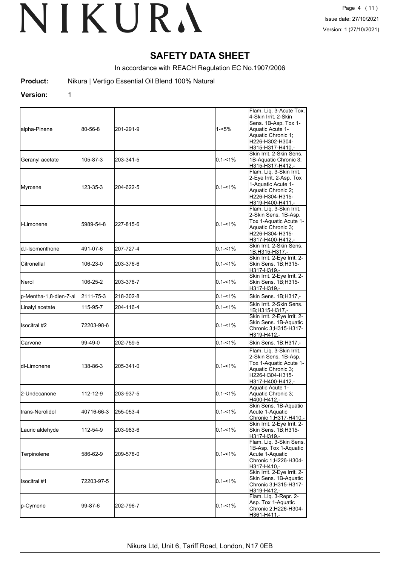# **SAFETY DATA SHEET**

In accordance with REACH Regulation EC No.1907/2006

**Product:** Nikura | Vertigo Essential Oil Blend 100% Natural

# **Version:** 1

| lalpha-Pinene            | 80-56-8    | 201-291-9 | 1-<5%       | Flam. Liq. 3-Acute Tox.<br>4-Skin Irrit. 2-Skin<br>Sens. 1B-Asp. Tox 1-<br>Aquatic Acute 1-<br>Aquatic Chronic 1;<br>H226-H302-H304-<br>H315-H317-H410,- |
|--------------------------|------------|-----------|-------------|----------------------------------------------------------------------------------------------------------------------------------------------------------|
| Geranyl acetate          | 105-87-3   | 203-341-5 | $0.1 - 1\%$ | Skin Irrit. 2-Skin Sens.<br>1B-Aquatic Chronic 3;<br>H315-H317-H412,-                                                                                    |
| Myrcene                  | 123-35-3   | 204-622-5 | $0.1 - 1\%$ | Flam. Liq. 3-Skin Irrit.<br>2-Eye Irrit. 2-Asp. Tox<br>1-Aquatic Acute 1-<br>Aquatic Chronic 2;<br>H226-H304-H315-<br>H319-H400-H411,-                   |
| <b>I</b> I-Limonene      | 5989-54-8  | 227-815-6 | $0.1 - 1\%$ | Flam. Liq. 3-Skin Irrit.<br>2-Skin Sens. 1B-Asp.<br>Tox 1-Aquatic Acute 1-<br>Aquatic Chronic 3;<br>H226-H304-H315-<br>H317-H400-H412.-                  |
| ld.I-Isomenthone         | 491-07-6   | 207-727-4 | $0.1 - 1\%$ | Skin Irrit. 2-Skin Sens.<br>1B;H315-H317,-                                                                                                               |
| <b>Citronellal</b>       | 106-23-0   | 203-376-6 | $0.1 - 1\%$ | Skin Irrit. 2-Eye Irrit. 2-<br>Skin Sens. 1B;H315-<br>H317-H319.-                                                                                        |
| <b>Nerol</b>             | 106-25-2   | 203-378-7 | $0.1 - 1\%$ | Skin Irrit. 2-Eye Irrit. 2-<br>Skin Sens. 1B;H315-<br>H317-H319.-                                                                                        |
| p-Mentha-1,8-dien-7-al   | 2111-75-3  | 218-302-8 | $0.1 - 1\%$ | Skin Sens. 1B;H317,-                                                                                                                                     |
| Linalyl acetate          | 115-95-7   | 204-116-4 | $0.1 - 1\%$ | Skin Irrit. 2-Skin Sens.<br>1B;H315-H317,-                                                                                                               |
| Ilsocitral #2            | 72203-98-6 |           | $0.1 - 1\%$ | Skin Irrit. 2-Eye Irrit. 2-<br>Skin Sens. 1B-Aquatic<br>Chronic 3;H315-H317-<br>H319-H412,-                                                              |
| Carvone                  | 99-49-0    | 202-759-5 | $0.1 - 1\%$ | Skin Sens. 1B;H317,-                                                                                                                                     |
| ldl-Limonene             | 138-86-3   | 205-341-0 | $0.1 - 1\%$ | Flam. Liq. 3-Skin Irrit.<br>2-Skin Sens. 1B-Asp.<br>Tox 1-Aquatic Acute 1-<br>Aquatic Chronic 3:<br>H226-H304-H315-<br>H317-H400-H412,-                  |
| 2-Undecanone             | 112-12-9   | 203-937-5 | $0.1 - 1\%$ | Aquatic Acute 1-<br>Aquatic Chronic 3:<br>H400-H412,-                                                                                                    |
| <b>I</b> trans-Nerolidol | 40716-66-3 | 255-053-4 | $0.1 - 1\%$ | Skin Sens. 1B-Aquatic<br>Acute 1-Aquatic<br>Chronic 1;H317-H410,-                                                                                        |
| Lauric aldehyde          | 112-54-9   | 203-983-6 | 0.1-<1%     | Skin Irrit. 2-Eye Irrit. 2-<br>Skin Sens. 1B;H315-<br>H317-H319.-                                                                                        |
| Terpinolene              | 586-62-9   | 209-578-0 | 0.1-<1%     | Flam. Lig. 3-Skin Sens.<br>1B-Asp. Tox 1-Aquatic<br>Acute 1-Aquatic<br>Chronic 1;H226-H304-<br>H317-H410.-                                               |
| Isocitral #1             | 72203-97-5 |           | $0.1 - 1\%$ | Skin Irrit. 2-Eye Irrit. 2-<br>Skin Sens. 1B-Aquatic<br>Chronic 3;H315-H317-<br>H319-H412.-                                                              |
| p-Cymene                 | 99-87-6    | 202-796-7 | $0.1 - 1\%$ | Flam. Liq. 3-Repr. 2-<br>Asp. Tox 1-Aquatic<br>Chronic 2;H226-H304-<br>H361-H411,-                                                                       |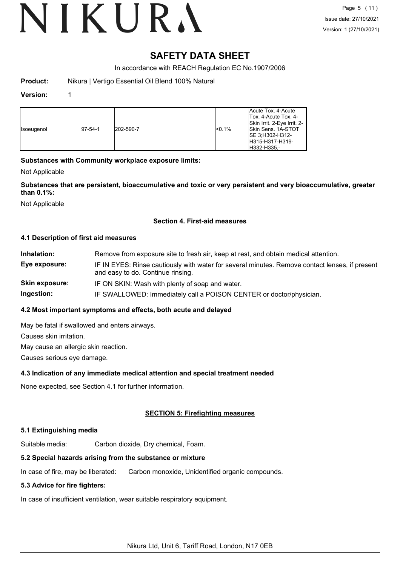# **SAFETY DATA SHEET**

In accordance with REACH Regulation EC No.1907/2006

| Nikura   Vertigo Essential Oil Blend 100% Natural<br>Product: |  |
|---------------------------------------------------------------|--|
|---------------------------------------------------------------|--|

# **Version:** 1

| <b>Isoeugenol</b> | $ 97-54-1 $ | 202-590-7 | < 0.1% | Acute Tox. 4-Acute<br>Tox. 4-Acute Tox. 4-<br>Skin Irrit. 2-Eye Irrit. 2-<br><b>Skin Sens. 1A-STOT</b><br>ISE 3:H302-H312-<br>H315-H317-H319-<br>H332-H335.- |
|-------------------|-------------|-----------|--------|--------------------------------------------------------------------------------------------------------------------------------------------------------------|
|-------------------|-------------|-----------|--------|--------------------------------------------------------------------------------------------------------------------------------------------------------------|

# **Substances with Community workplace exposure limits:**

Not Applicable

**Substances that are persistent, bioaccumulative and toxic or very persistent and very bioaccumulative, greater than 0.1%:**

Not Applicable

# **Section 4. First-aid measures**

#### **4.1 Description of first aid measures**

| Inhalation:    | Remove from exposure site to fresh air, keep at rest, and obtain medical attention.                                                 |
|----------------|-------------------------------------------------------------------------------------------------------------------------------------|
| Eye exposure:  | IF IN EYES: Rinse cautiously with water for several minutes. Remove contact lenses, if present<br>and easy to do. Continue rinsing. |
| Skin exposure: | IF ON SKIN: Wash with plenty of soap and water.                                                                                     |
| Ingestion:     | IF SWALLOWED: Immediately call a POISON CENTER or doctor/physician.                                                                 |
|                |                                                                                                                                     |

# **4.2 Most important symptoms and effects, both acute and delayed**

May be fatal if swallowed and enters airways.

Causes skin irritation.

May cause an allergic skin reaction.

Causes serious eye damage.

# **4.3 Indication of any immediate medical attention and special treatment needed**

None expected, see Section 4.1 for further information.

# **SECTION 5: Firefighting measures**

# **5.1 Extinguishing media**

Suitable media: Carbon dioxide, Dry chemical, Foam.

# **5.2 Special hazards arising from the substance or mixture**

In case of fire, may be liberated: Carbon monoxide, Unidentified organic compounds.

# **5.3 Advice for fire fighters:**

In case of insufficient ventilation, wear suitable respiratory equipment.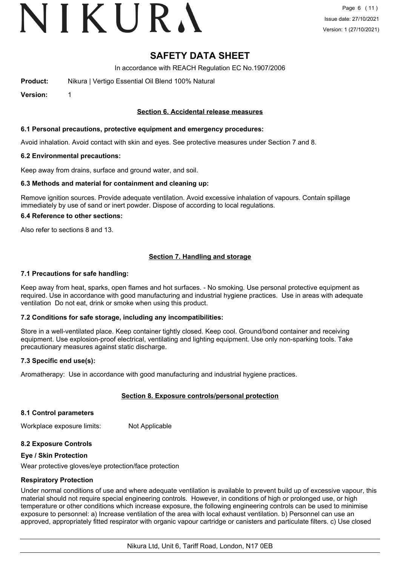# VIKURA

# **SAFETY DATA SHEET**

In accordance with REACH Regulation EC No.1907/2006

**Product:** Nikura | Vertigo Essential Oil Blend 100% Natural

**Version:** 1

# **Section 6. Accidental release measures**

#### **6.1 Personal precautions, protective equipment and emergency procedures:**

Avoid inhalation. Avoid contact with skin and eyes. See protective measures under Section 7 and 8.

#### **6.2 Environmental precautions:**

Keep away from drains, surface and ground water, and soil.

#### **6.3 Methods and material for containment and cleaning up:**

Remove ignition sources. Provide adequate ventilation. Avoid excessive inhalation of vapours. Contain spillage immediately by use of sand or inert powder. Dispose of according to local regulations.

#### **6.4 Reference to other sections:**

Also refer to sections 8 and 13.

# **Section 7. Handling and storage**

#### **7.1 Precautions for safe handling:**

Keep away from heat, sparks, open flames and hot surfaces. - No smoking. Use personal protective equipment as required. Use in accordance with good manufacturing and industrial hygiene practices. Use in areas with adequate ventilation Do not eat, drink or smoke when using this product.

# **7.2 Conditions for safe storage, including any incompatibilities:**

Store in a well-ventilated place. Keep container tightly closed. Keep cool. Ground/bond container and receiving equipment. Use explosion-proof electrical, ventilating and lighting equipment. Use only non-sparking tools. Take precautionary measures against static discharge.

# **7.3 Specific end use(s):**

Aromatherapy: Use in accordance with good manufacturing and industrial hygiene practices.

# **Section 8. Exposure controls/personal protection**

#### **8.1 Control parameters**

Workplace exposure limits: Not Applicable

# **8.2 Exposure Controls**

#### **Eye / Skin Protection**

Wear protective gloves/eye protection/face protection

# **Respiratory Protection**

Under normal conditions of use and where adequate ventilation is available to prevent build up of excessive vapour, this material should not require special engineering controls. However, in conditions of high or prolonged use, or high temperature or other conditions which increase exposure, the following engineering controls can be used to minimise exposure to personnel: a) Increase ventilation of the area with local exhaust ventilation. b) Personnel can use an approved, appropriately fitted respirator with organic vapour cartridge or canisters and particulate filters. c) Use closed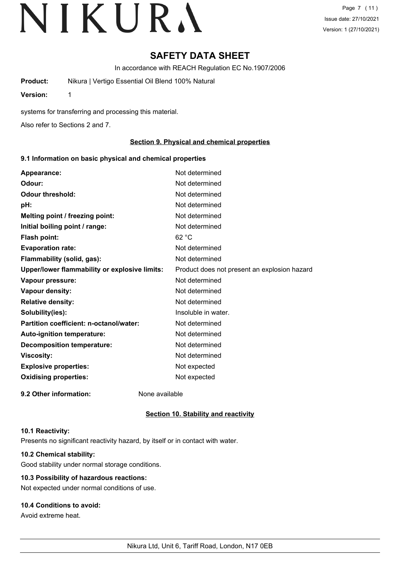# **SAFETY DATA SHEET**

In accordance with REACH Regulation EC No.1907/2006

**Product:** Nikura | Vertigo Essential Oil Blend 100% Natural

**Version:** 1

systems for transferring and processing this material.

Also refer to Sections 2 and 7.

# **Section 9. Physical and chemical properties**

# **9.1 Information on basic physical and chemical properties**

| Appearance:                                   | Not determined                               |
|-----------------------------------------------|----------------------------------------------|
| Odour:                                        | Not determined                               |
| <b>Odour threshold:</b>                       | Not determined                               |
| pH:                                           | Not determined                               |
| Melting point / freezing point:               | Not determined                               |
| Initial boiling point / range:                | Not determined                               |
| Flash point:                                  | 62 °C                                        |
| <b>Evaporation rate:</b>                      | Not determined                               |
| Flammability (solid, gas):                    | Not determined                               |
| Upper/lower flammability or explosive limits: | Product does not present an explosion hazard |
| Vapour pressure:                              | Not determined                               |
| Vapour density:                               | Not determined                               |
| <b>Relative density:</b>                      | Not determined                               |
| Solubility(ies):                              | Insoluble in water.                          |
| Partition coefficient: n-octanol/water:       | Not determined                               |
| Auto-ignition temperature:                    | Not determined                               |
| <b>Decomposition temperature:</b>             | Not determined                               |
| <b>Viscosity:</b>                             | Not determined                               |
| <b>Explosive properties:</b>                  | Not expected                                 |
| <b>Oxidising properties:</b>                  | Not expected                                 |
| 9.2 Other information:                        | None available                               |

# **Section 10. Stability and reactivity**

# **10.1 Reactivity:**

Presents no significant reactivity hazard, by itself or in contact with water.

# **10.2 Chemical stability:**

Good stability under normal storage conditions.

# **10.3 Possibility of hazardous reactions:**

Not expected under normal conditions of use.

# **10.4 Conditions to avoid:**

Avoid extreme heat.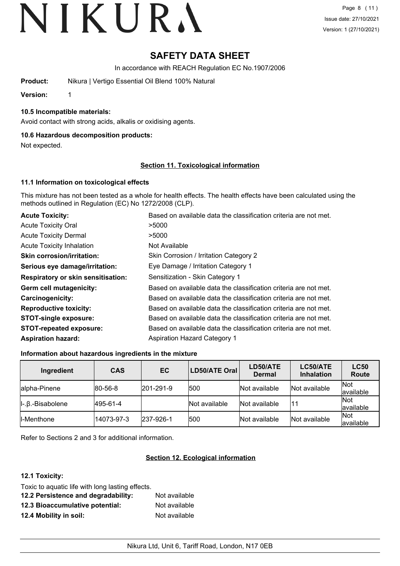# **SAFETY DATA SHEET**

In accordance with REACH Regulation EC No.1907/2006

**Product:** Nikura | Vertigo Essential Oil Blend 100% Natural

**Version:** 1

# **10.5 Incompatible materials:**

Avoid contact with strong acids, alkalis or oxidising agents.

# **10.6 Hazardous decomposition products:**

Not expected.

# **Section 11. Toxicological information**

# **11.1 Information on toxicological effects**

This mixture has not been tested as a whole for health effects. The health effects have been calculated using the methods outlined in Regulation (EC) No 1272/2008 (CLP).

| <b>Acute Toxicity:</b>                    | Based on available data the classification criteria are not met. |
|-------------------------------------------|------------------------------------------------------------------|
| <b>Acute Toxicity Oral</b>                | >5000                                                            |
| <b>Acute Toxicity Dermal</b>              | >5000                                                            |
| <b>Acute Toxicity Inhalation</b>          | Not Available                                                    |
| <b>Skin corrosion/irritation:</b>         | Skin Corrosion / Irritation Category 2                           |
| Serious eye damage/irritation:            | Eye Damage / Irritation Category 1                               |
| <b>Respiratory or skin sensitisation:</b> | Sensitization - Skin Category 1                                  |
| Germ cell mutagenicity:                   | Based on available data the classification criteria are not met. |
| <b>Carcinogenicity:</b>                   | Based on available data the classification criteria are not met. |
| <b>Reproductive toxicity:</b>             | Based on available data the classification criteria are not met. |
| <b>STOT-single exposure:</b>              | Based on available data the classification criteria are not met. |
| <b>STOT-repeated exposure:</b>            | Based on available data the classification criteria are not met. |
| <b>Aspiration hazard:</b>                 | <b>Aspiration Hazard Category 1</b>                              |

# **Information about hazardous ingredients in the mixture**

| Ingredient                          | <b>CAS</b>      | <b>EC</b>         | LD50/ATE Oral | LD50/ATE<br><b>Dermal</b> | LC50/ATE<br><b>Inhalation</b> | <b>LC50</b><br>Route |
|-------------------------------------|-----------------|-------------------|---------------|---------------------------|-------------------------------|----------------------|
| alpha-Pinene                        | $ 80 - 56 - 8 $ | $ 201 - 291 - 9 $ | 500           | Not available             | Not available                 | Not<br>lavailable    |
| $\parallel$ -. $\beta$ .-Bisabolene | 495-61-4        |                   | Not available | Not available             |                               | Not<br>available     |
| II-Menthone                         | 14073-97-3      | $ 237-926-1 $     | 500           | Not available             | Not available                 | Not<br>lavailable    |

Refer to Sections 2 and 3 for additional information.

# **Section 12. Ecological information**

# **12.1 Toxicity:**

| Toxic to aquatic life with long lasting effects. |               |
|--------------------------------------------------|---------------|
| 12.2 Persistence and degradability:              | Not available |
| 12.3 Bioaccumulative potential:                  | Not available |
| 12.4 Mobility in soil:                           | Not available |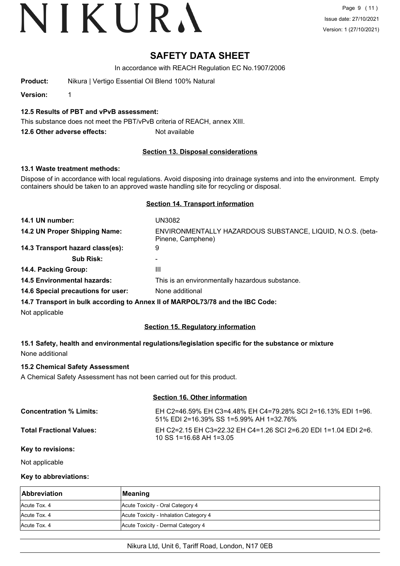Page 9 (11) Issue date: 27/10/2021 Version: 1 (27/10/2021)

# **SAFETY DATA SHEET**

In accordance with REACH Regulation EC No.1907/2006

**Product:** Nikura | Vertigo Essential Oil Blend 100% Natural

**Version:** 1

**12.5 Results of PBT and vPvB assessment:**

This substance does not meet the PBT/vPvB criteria of REACH, annex XIII.

**12.6 Other adverse effects:** Not available

# **Section 13. Disposal considerations**

# **13.1 Waste treatment methods:**

Dispose of in accordance with local regulations. Avoid disposing into drainage systems and into the environment. Empty containers should be taken to an approved waste handling site for recycling or disposal.

# **Section 14. Transport information**

| 14.1 UN number:                    | UN3082                                                                          |
|------------------------------------|---------------------------------------------------------------------------------|
| 14.2 UN Proper Shipping Name:      | ENVIRONMENTALLY HAZARDOUS SUBSTANCE, LIQUID, N.O.S. (beta-<br>Pinene, Camphene) |
| 14.3 Transport hazard class(es):   | 9                                                                               |
| <b>Sub Risk:</b>                   | -                                                                               |
| 14.4. Packing Group:               | Ш                                                                               |
| <b>14.5 Environmental hazards:</b> | This is an environmentally hazardous substance.                                 |
| 14.6 Special precautions for user: | None additional                                                                 |
|                                    | 14.7 Transport in bulk according to Annoy II of MADDOI 73/78 and the IBC Code:  |

**14.7 Transport in bulk according to Annex II of MARPOL73/78 and the IBC Code:**

Not applicable

# **Section 15. Regulatory information**

**15.1 Safety, health and environmental regulations/legislation specific for the substance or mixture** None additional

# **15.2 Chemical Safety Assessment**

A Chemical Safety Assessment has not been carried out for this product.

# **Section 16. Other information**

| <b>Concentration % Limits:</b>  | EH C2=46.59% EH C3=4.48% EH C4=79.28% SCI 2=16.13% EDI 1=96.<br>51% EDI 2=16.39% SS 1=5.99% AH 1=32.76% |
|---------------------------------|---------------------------------------------------------------------------------------------------------|
| <b>Total Fractional Values:</b> | EH C2=2.15 EH C3=22.32 EH C4=1.26 SCI 2=6.20 EDI 1=1.04 EDI 2=6.<br>$10$ SS 1=16.68 AH 1=3.05           |

#### **Key to revisions:**

Not applicable

# **Key to abbreviations:**

| <b>Abbreviation</b> | Meaning                                |
|---------------------|----------------------------------------|
| Acute Tox, 4        | Acute Toxicity - Oral Category 4       |
| Acute Tox, 4        | Acute Toxicity - Inhalation Category 4 |
| Acute Tox, 4        | Acute Toxicity - Dermal Category 4     |

# Nikura Ltd, Unit 6, Tariff Road, London, N17 0EB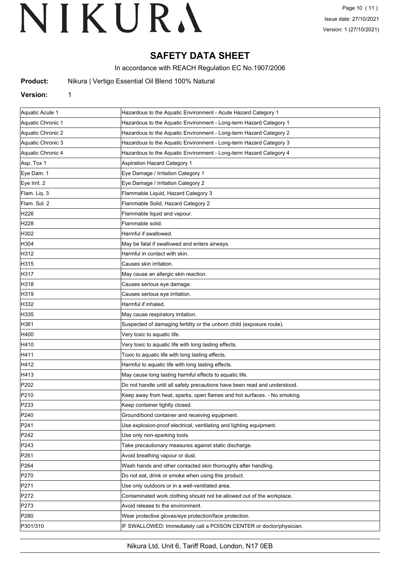# **SAFETY DATA SHEET**

In accordance with REACH Regulation EC No.1907/2006

**Nikura | Vertigo Essential Oil Blend 100% Natural** 

# **Version:** 1

| Aquatic Acute 1   | Hazardous to the Aquatic Environment - Acute Hazard Category 1            |  |
|-------------------|---------------------------------------------------------------------------|--|
| Aquatic Chronic 1 | Hazardous to the Aquatic Environment - Long-term Hazard Category 1        |  |
| Aquatic Chronic 2 | Hazardous to the Aquatic Environment - Long-term Hazard Category 2        |  |
| Aquatic Chronic 3 | Hazardous to the Aquatic Environment - Long-term Hazard Category 3        |  |
| Aquatic Chronic 4 | Hazardous to the Aquatic Environment - Long-term Hazard Category 4        |  |
| Asp. Tox 1        | <b>Aspiration Hazard Category 1</b>                                       |  |
| Eye Dam. 1        | Eye Damage / Irritation Category 1                                        |  |
| Eye Irrit. 2      | Eye Damage / Irritation Category 2                                        |  |
| Flam. Liq. 3      | Flammable Liquid, Hazard Category 3                                       |  |
| Flam. Sol. 2      | Flammable Solid, Hazard Category 2                                        |  |
| H226              | Flammable liquid and vapour.                                              |  |
| H <sub>228</sub>  | Flammable solid.                                                          |  |
| H302              | Harmful if swallowed.                                                     |  |
| H304              | May be fatal if swallowed and enters airways.                             |  |
| H312              | Harmful in contact with skin.                                             |  |
| H315              | Causes skin irritation.                                                   |  |
| H317              | May cause an allergic skin reaction.                                      |  |
| H318              | Causes serious eye damage.                                                |  |
| H319              | Causes serious eye irritation.                                            |  |
| H332              | Harmful if inhaled.                                                       |  |
| H335              | May cause respiratory irritation.                                         |  |
| H361              | Suspected of damaging fertility or the unborn child (exposure route).     |  |
| H400              | Very toxic to aquatic life.                                               |  |
| H410              | Very toxic to aquatic life with long lasting effects.                     |  |
| H411              | Toxic to aquatic life with long lasting effects.                          |  |
| H412              | Harmful to aquatic life with long lasting effects.                        |  |
| H413              | May cause long lasting harmful effects to aquatic life.                   |  |
| P202              | Do not handle until all safety precautions have been read and understood. |  |
| P210              | Keep away from heat, sparks, open flames and hot surfaces. - No smoking.  |  |
| P233              | Keep container tightly closed.                                            |  |
| P240              | Ground/bond container and receiving equipment.                            |  |
| P241              | Use explosion-proof electrical, ventilating and lighting equipment.       |  |
| P242              | Use only non-sparking tools.                                              |  |
| P243              | Take precautionary measures against static discharge.                     |  |
| P261              | Avoid breathing vapour or dust.                                           |  |
| P <sub>264</sub>  | Wash hands and other contacted skin thoroughly after handling.            |  |
| P270              | Do not eat, drink or smoke when using this product.                       |  |
| P271              | Use only outdoors or in a well-ventilated area.                           |  |
| P272              | Contaminated work clothing should not be allowed out of the workplace.    |  |
| P273              | Avoid release to the environment.                                         |  |
| P <sub>280</sub>  | Wear protective gloves/eye protection/face protection.                    |  |
| P301/310          | IF SWALLOWED: Immediately call a POISON CENTER or doctor/physician.       |  |